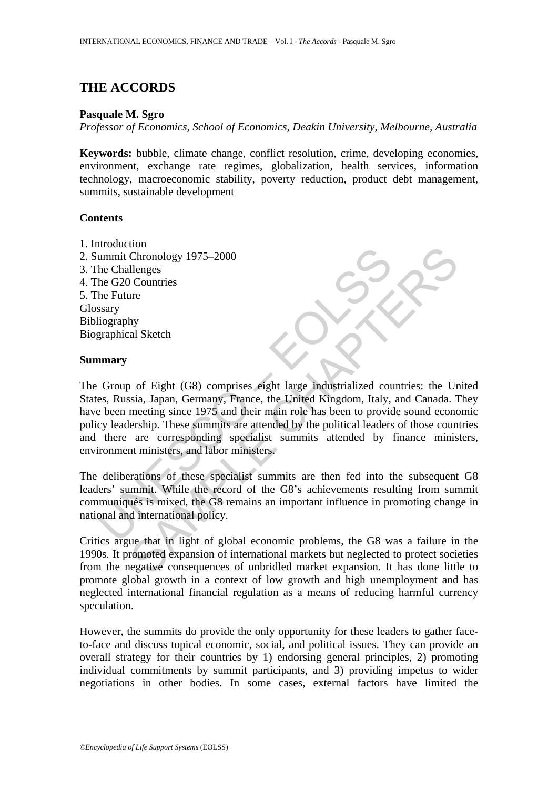# **THE ACCORDS**

## **Pasquale M. Sgro**

*Professor of Economics, School of Economics, Deakin University, Melbourne, Australia* 

**Keywords:** bubble, climate change, conflict resolution, crime, developing economies, environment, exchange rate regimes, globalization, health services, information technology, macroeconomic stability, poverty reduction, product debt management, summits, sustainable development

## **Contents**

- 1. Introduction
- 2. Summit Chronology 1975–2000
- 3. The Challenges
- 4. The G20 Countries
- 5. The Future
- Glossary
- Bibliography
- Biographical Sketch

### **Summary**

Exercise<br>
ummit Chronology 1975–2000<br>
he Challenges<br>
he G20 Countries<br>
he Future<br>
ssary<br>
ssary<br>
Uliography<br>
Group of Eight (G8) comprises eight large industrialized cours,<br>
Russia, Japan, Germany, France, the United Kingdo Contrinsipal<br>Chronology 1975–2000<br>Ilenges<br>Inconclogy 1975–2000<br>Ilenges<br>Incountries:<br>Incontries<br>It is contries<br>asia, Japan, Germany, France, the Lindel Kingdom, Italy, and Canada.<br>The ameeting since 1975 and their main role The Group of Eight (G8) comprises eight large industrialized countries: the United States, Russia, Japan, Germany, France, the United Kingdom, Italy, and Canada. They have been meeting since 1975 and their main role has been to provide sound economic policy leadership. These summits are attended by the political leaders of those countries and there are corresponding specialist summits attended by finance ministers, environment ministers, and labor ministers.

The deliberations of these specialist summits are then fed into the subsequent G8 leaders' summit. While the record of the G8's achievements resulting from summit communiqués is mixed, the G8 remains an important influence in promoting change in national and international policy.

Critics argue that in light of global economic problems, the G8 was a failure in the 1990s. It promoted expansion of international markets but neglected to protect societies from the negative consequences of unbridled market expansion. It has done little to promote global growth in a context of low growth and high unemployment and has neglected international financial regulation as a means of reducing harmful currency speculation.

However, the summits do provide the only opportunity for these leaders to gather faceto-face and discuss topical economic, social, and political issues. They can provide an overall strategy for their countries by 1) endorsing general principles, 2) promoting individual commitments by summit participants, and 3) providing impetus to wider negotiations in other bodies. In some cases, external factors have limited the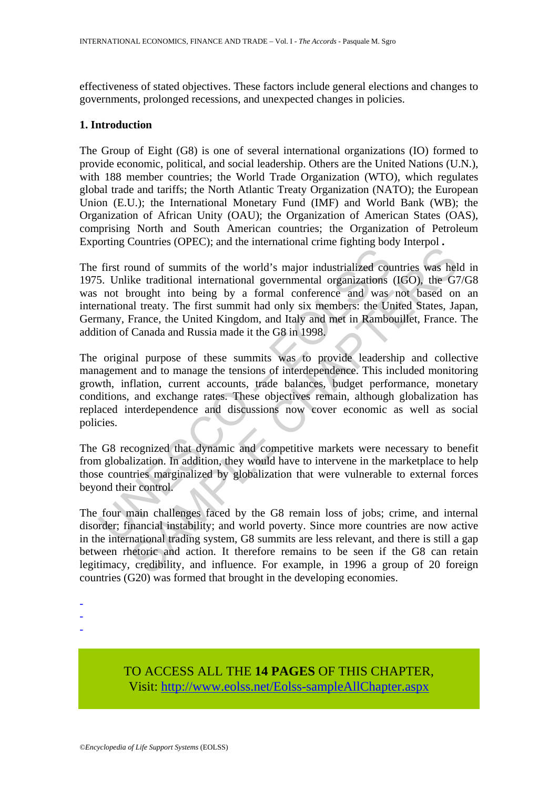effectiveness of stated objectives. These factors include general elections and changes to governments, prolonged recessions, and unexpected changes in policies.

## **1. Introduction**

The Group of Eight (G8) is one of several international organizations (IO) formed to provide economic, political, and social leadership. Others are the United Nations (U.N.), with 188 member countries; the World Trade Organization (WTO), which regulates global trade and tariffs; the North Atlantic Treaty Organization (NATO); the European Union (E.U.); the International Monetary Fund (IMF) and World Bank (WB); the Organization of African Unity (OAU); the Organization of American States (OAS), comprising North and South American countries; the Organization of Petroleum Exporting Countries (OPEC); and the international crime fighting body Interpol **.** 

The first round of summits of the world's major industrialized countries was held in 1975. Unlike traditional international governmental organizations (IGO), the G7/G8 was not brought into being by a formal conference and was not based on an international treaty. The first summit had only six members: the United States, Japan, Germany, France, the United Kingdom, and Italy and met in Rambouillet, France. The addition of Canada and Russia made it the G8 in 1998.

Example in the best of the world's major industrialized countine in the brught into being by a formal conference and was mentional treaty, The first summit had only six members: the United Kingdom, and Italy six members: t ble traditional international governmental orange and methods of summits of the world's major industrialized countries was help or brondle international governmental organizations (IGO), the Groundle treaty. The first summ The original purpose of these summits was to provide leadership and collective management and to manage the tensions of interdependence. This included monitoring growth, inflation, current accounts, trade balances, budget performance, monetary conditions, and exchange rates. These objectives remain, although globalization has replaced interdependence and discussions now cover economic as well as social policies.

The G8 recognized that dynamic and competitive markets were necessary to benefit from globalization. In addition, they would have to intervene in the marketplace to help those countries marginalized by globalization that were vulnerable to external forces beyond their control.

The four main challenges faced by the G8 remain loss of jobs; crime, and internal disorder; financial instability; and world poverty. Since more countries are now active in the international trading system, G8 summits are less relevant, and there is still a gap between rhetoric and action. It therefore remains to be seen if the G8 can retain legitimacy, credibility, and influence. For example, in 1996 a group of 20 foreign countries (G20) was formed that brought in the developing economies.

-

TO ACCESS ALL THE **14 PAGES** OF THIS CHAPTER, Visit: [http://www.eolss.net/Eolss-sampleAllChapter.aspx](https://www.eolss.net/ebooklib/sc_cart.aspx?File=E1-23-03-04)

<sup>-</sup> 

<sup>-</sup>